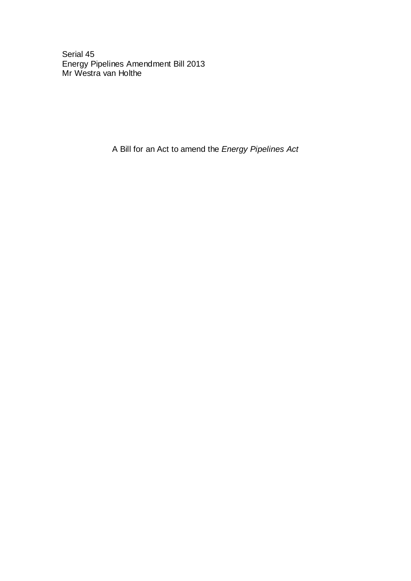Serial 45 Energy Pipelines Amendment Bill 2013 Mr Westra van Holthe

A Bill for an Act to amend the *Energy Pipelines Act*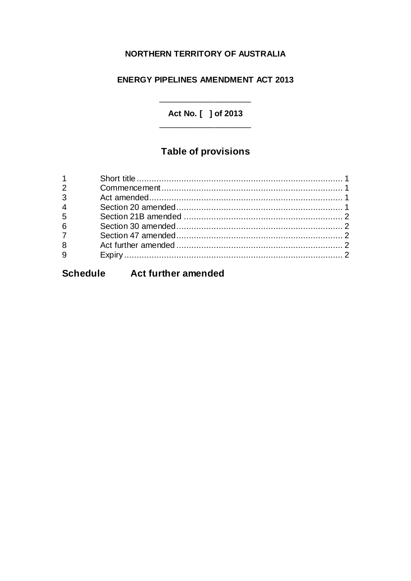#### NORTHERN TERRITORY OF AUSTRALIA

### **ENERGY PIPELINES AMENDMENT ACT 2013**

Act No. [ ] of 2013

# **Table of provisions**

| $\overline{3}$  |  |
|-----------------|--|
| $4\overline{4}$ |  |
| $5^{\circ}$     |  |
| $6\overline{6}$ |  |
| $\overline{7}$  |  |
| $\frac{1}{8}$   |  |
| $\overline{9}$  |  |
|                 |  |

# Schedule Act further amended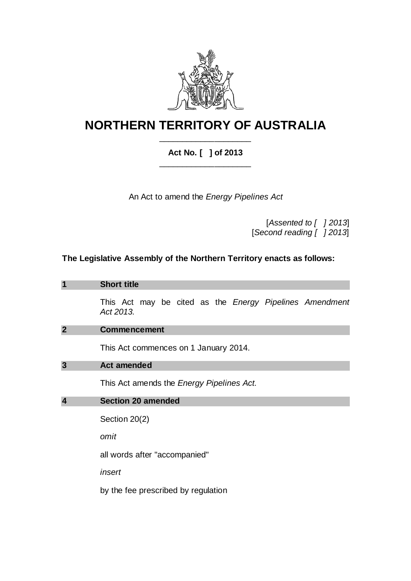

## **NORTHERN TERRITORY OF AUSTRALIA** \_\_\_\_\_\_\_\_\_\_\_\_\_\_\_\_\_\_\_\_

### **Act No. [ ] of 2013** \_\_\_\_\_\_\_\_\_\_\_\_\_\_\_\_\_\_\_\_

An Act to amend the *Energy Pipelines Act*

[*Assented to [ ] 2013*] [*Second reading [ ] 2013*]

### **The Legislative Assembly of the Northern Territory enacts as follows:**

| $\overline{\mathbf{1}}$ | <b>Short title</b>                                                          |  |  |  |  |
|-------------------------|-----------------------------------------------------------------------------|--|--|--|--|
|                         | This Act may be cited as the <i>Energy Pipelines Amendment</i><br>Act 2013. |  |  |  |  |
| $\overline{2}$          | <b>Commencement</b>                                                         |  |  |  |  |
|                         | This Act commences on 1 January 2014.                                       |  |  |  |  |
| $\overline{\mathbf{3}}$ | <b>Act amended</b>                                                          |  |  |  |  |
|                         | This Act amends the <i>Energy Pipelines Act.</i>                            |  |  |  |  |
| $\overline{\mathbf{4}}$ | <b>Section 20 amended</b>                                                   |  |  |  |  |
|                         |                                                                             |  |  |  |  |
|                         | Section 20(2)                                                               |  |  |  |  |
|                         | omit                                                                        |  |  |  |  |
|                         | all words after "accompanied"                                               |  |  |  |  |
|                         | insert                                                                      |  |  |  |  |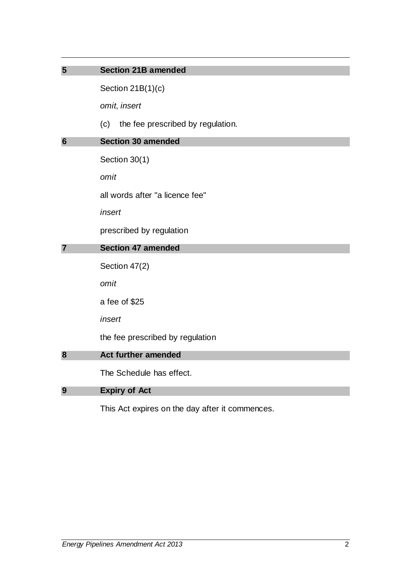| 5                              | <b>Section 21B amended</b>               |
|--------------------------------|------------------------------------------|
|                                | Section $21B(1)(c)$                      |
|                                | omit, insert                             |
|                                | the fee prescribed by regulation.<br>(c) |
| $6\phantom{1}6$                | <b>Section 30 amended</b>                |
|                                | Section 30(1)                            |
|                                | omit                                     |
|                                | all words after "a licence fee"          |
|                                | insert                                   |
|                                | prescribed by regulation                 |
| <b>Section 47 amended</b><br>7 |                                          |
|                                | Section 47(2)                            |
|                                | omit                                     |
|                                | a fee of \$25                            |
|                                | insert                                   |
|                                | the fee prescribed by regulation         |
| 8                              | <b>Act further amended</b>               |
|                                | The Schedule has effect.                 |
| 9                              | <b>Expiry of Act</b>                     |

<span id="page-3-0"></span>This Act expires on the day after it commences.